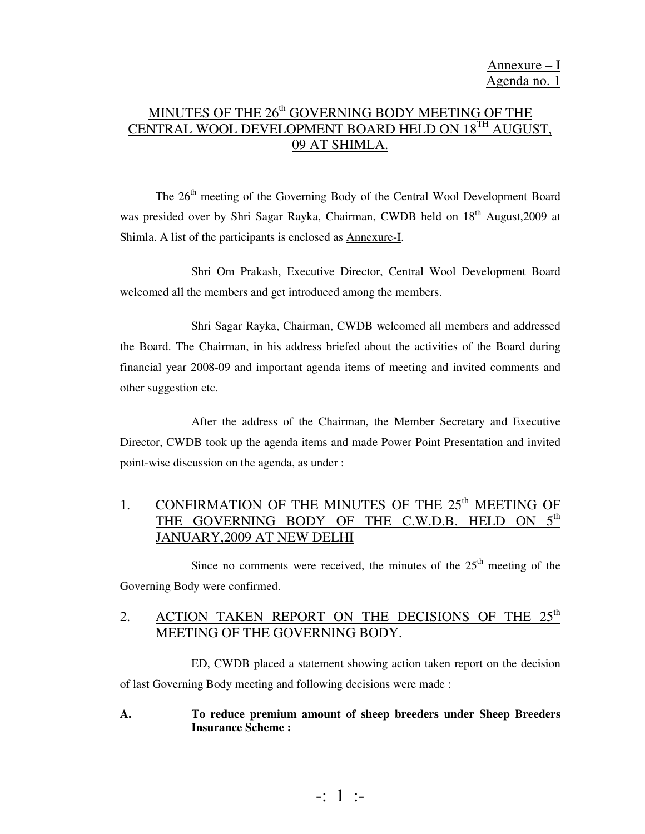# MINUTES OF THE 26<sup>th</sup> GOVERNING BODY MEETING OF THE CENTRAL WOOL DEVELOPMENT BOARD HELD ON 18TH AUGUST, 09 AT SHIMLA.

The 26<sup>th</sup> meeting of the Governing Body of the Central Wool Development Board was presided over by Shri Sagar Rayka, Chairman, CWDB held on 18<sup>th</sup> August,2009 at Shimla. A list of the participants is enclosed as Annexure-I.

 Shri Om Prakash, Executive Director, Central Wool Development Board welcomed all the members and get introduced among the members.

 Shri Sagar Rayka, Chairman, CWDB welcomed all members and addressed the Board. The Chairman, in his address briefed about the activities of the Board during financial year 2008-09 and important agenda items of meeting and invited comments and other suggestion etc.

 After the address of the Chairman, the Member Secretary and Executive Director, CWDB took up the agenda items and made Power Point Presentation and invited point-wise discussion on the agenda, as under :

# 1. CONFIRMATION OF THE MINUTES OF THE 25<sup>th</sup> MEETING OF THE GOVERNING BODY OF THE C.W.D.B. HELD ON  $5^{\text{th}}$ JANUARY,2009 AT NEW DELHI

Since no comments were received, the minutes of the  $25<sup>th</sup>$  meeting of the Governing Body were confirmed.

# 2. ACTION TAKEN REPORT ON THE DECISIONS OF THE 25<sup>th</sup> MEETING OF THE GOVERNING BODY.

 ED, CWDB placed a statement showing action taken report on the decision of last Governing Body meeting and following decisions were made :

#### **A. To reduce premium amount of sheep breeders under Sheep Breeders Insurance Scheme :**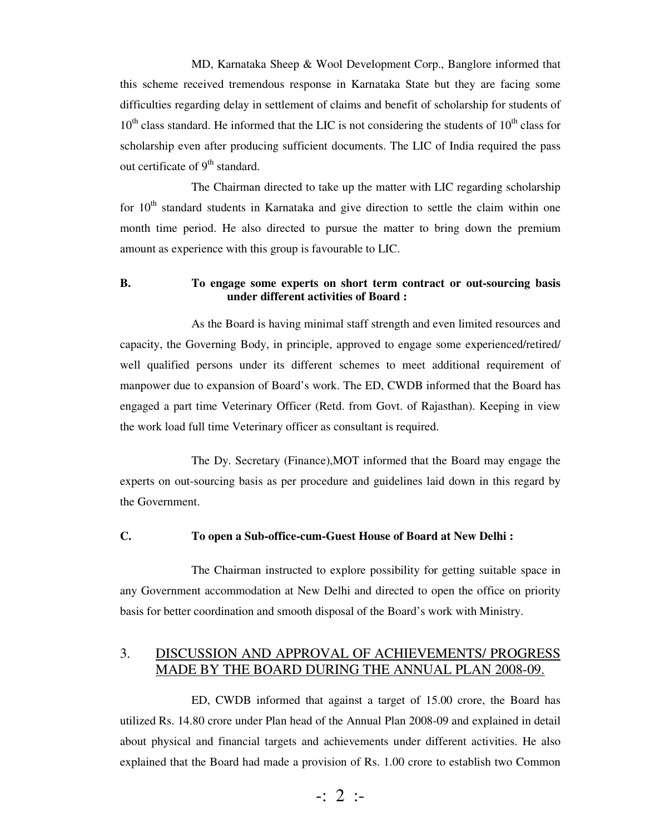MD, Karnataka Sheep & Wool Development Corp., Banglore informed that this scheme received tremendous response in Karnataka State but they are facing some difficulties regarding delay in settlement of claims and benefit of scholarship for students of  $10<sup>th</sup>$  class standard. He informed that the LIC is not considering the students of  $10<sup>th</sup>$  class for scholarship even after producing sufficient documents. The LIC of India required the pass out certificate of  $9<sup>th</sup>$  standard.

 The Chairman directed to take up the matter with LIC regarding scholarship for  $10<sup>th</sup>$  standard students in Karnataka and give direction to settle the claim within one month time period. He also directed to pursue the matter to bring down the premium amount as experience with this group is favourable to LIC.

#### **B. To engage some experts on short term contract or out-sourcing basis under different activities of Board :**

 As the Board is having minimal staff strength and even limited resources and capacity, the Governing Body, in principle, approved to engage some experienced/retired/ well qualified persons under its different schemes to meet additional requirement of manpower due to expansion of Board's work. The ED, CWDB informed that the Board has engaged a part time Veterinary Officer (Retd. from Govt. of Rajasthan). Keeping in view the work load full time Veterinary officer as consultant is required.

 The Dy. Secretary (Finance),MOT informed that the Board may engage the experts on out-sourcing basis as per procedure and guidelines laid down in this regard by the Government.

#### **C. To open a Sub-office-cum-Guest House of Board at New Delhi :**

 The Chairman instructed to explore possibility for getting suitable space in any Government accommodation at New Delhi and directed to open the office on priority basis for better coordination and smooth disposal of the Board's work with Ministry.

### 3. DISCUSSION AND APPROVAL OF ACHIEVEMENTS/ PROGRESS MADE BY THE BOARD DURING THE ANNUAL PLAN 2008-09.

 ED, CWDB informed that against a target of 15.00 crore, the Board has utilized Rs. 14.80 crore under Plan head of the Annual Plan 2008-09 and explained in detail about physical and financial targets and achievements under different activities. He also explained that the Board had made a provision of Rs. 1.00 crore to establish two Common

$$
\div 2 \div
$$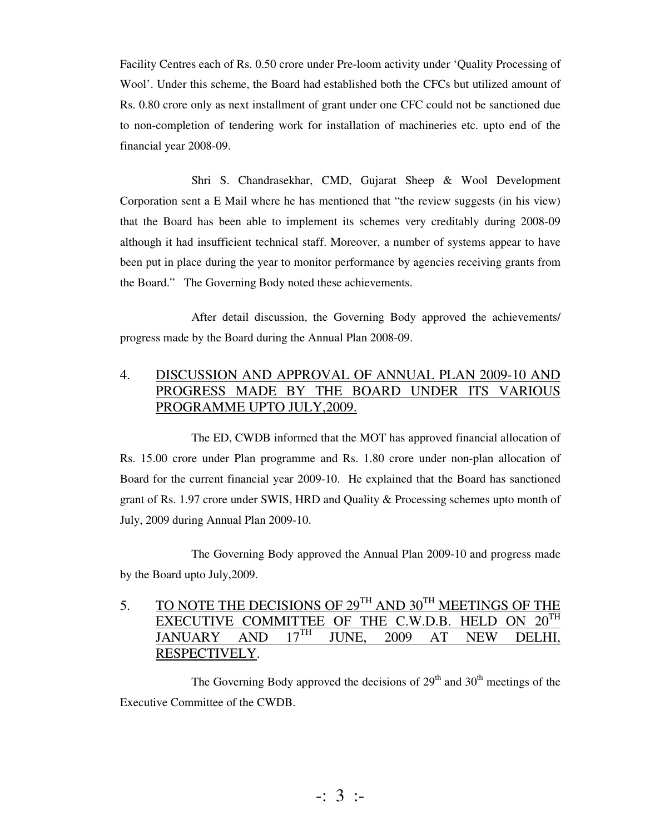Facility Centres each of Rs. 0.50 crore under Pre-loom activity under 'Quality Processing of Wool'. Under this scheme, the Board had established both the CFCs but utilized amount of Rs. 0.80 crore only as next installment of grant under one CFC could not be sanctioned due to non-completion of tendering work for installation of machineries etc. upto end of the financial year 2008-09.

 Shri S. Chandrasekhar, CMD, Gujarat Sheep & Wool Development Corporation sent a E Mail where he has mentioned that "the review suggests (in his view) that the Board has been able to implement its schemes very creditably during 2008-09 although it had insufficient technical staff. Moreover, a number of systems appear to have been put in place during the year to monitor performance by agencies receiving grants from the Board." The Governing Body noted these achievements.

 After detail discussion, the Governing Body approved the achievements/ progress made by the Board during the Annual Plan 2008-09.

## 4. DISCUSSION AND APPROVAL OF ANNUAL PLAN 2009-10 AND PROGRESS MADE BY THE BOARD UNDER ITS VARIOUS PROGRAMME UPTO JULY,2009.

 The ED, CWDB informed that the MOT has approved financial allocation of Rs. 15.00 crore under Plan programme and Rs. 1.80 crore under non-plan allocation of Board for the current financial year 2009-10. He explained that the Board has sanctioned grant of Rs. 1.97 crore under SWIS, HRD and Quality & Processing schemes upto month of July, 2009 during Annual Plan 2009-10.

 The Governing Body approved the Annual Plan 2009-10 and progress made by the Board upto July,2009.

5. TO NOTE THE DECISIONS OF  $29^{TH}$  AND  $30^{TH}$  MEETINGS OF THE EXECUTIVE COMMITTEE OF THE C.W.D.B. HELD ON  $20^{TH}$ EXECUTIVE COMMITTEE OF THE C.W.D.B. HELD ON JANUARY AND  $17^{TH}$  HINE 2009 AT NEW D JANUARY AND 17<sup>th</sup> JUNE, 2009 AT NEW DELHI, RESPECTIVELY.

The Governing Body approved the decisions of  $29<sup>th</sup>$  and  $30<sup>th</sup>$  meetings of the Executive Committee of the CWDB.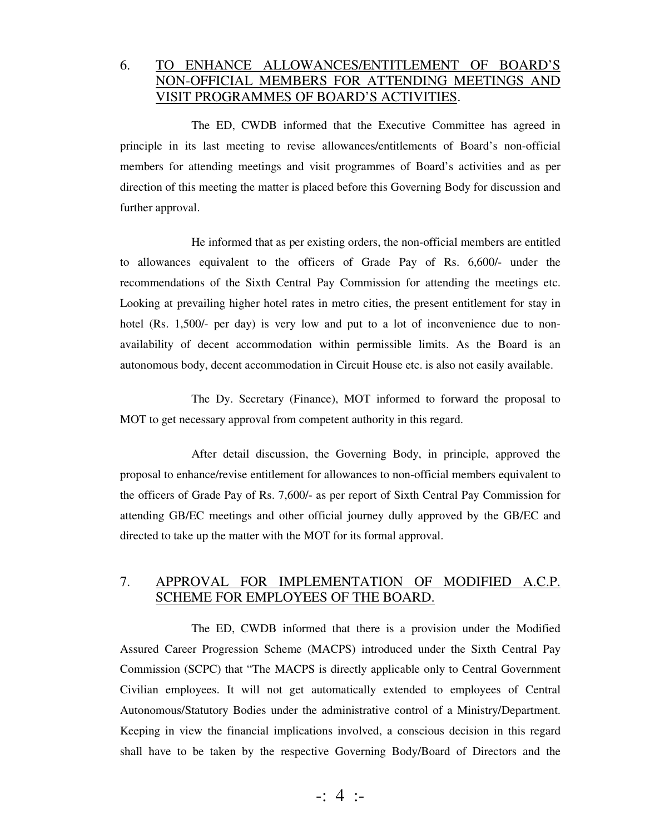## 6. TO ENHANCE ALLOWANCES/ENTITLEMENT OF BOARD'S NON-OFFICIAL MEMBERS FOR ATTENDING MEETINGS AND VISIT PROGRAMMES OF BOARD'S ACTIVITIES.

 The ED, CWDB informed that the Executive Committee has agreed in principle in its last meeting to revise allowances/entitlements of Board's non-official members for attending meetings and visit programmes of Board's activities and as per direction of this meeting the matter is placed before this Governing Body for discussion and further approval.

 He informed that as per existing orders, the non-official members are entitled to allowances equivalent to the officers of Grade Pay of Rs. 6,600/- under the recommendations of the Sixth Central Pay Commission for attending the meetings etc. Looking at prevailing higher hotel rates in metro cities, the present entitlement for stay in hotel (Rs. 1,500/- per day) is very low and put to a lot of inconvenience due to nonavailability of decent accommodation within permissible limits. As the Board is an autonomous body, decent accommodation in Circuit House etc. is also not easily available.

 The Dy. Secretary (Finance), MOT informed to forward the proposal to MOT to get necessary approval from competent authority in this regard.

 After detail discussion, the Governing Body, in principle, approved the proposal to enhance/revise entitlement for allowances to non-official members equivalent to the officers of Grade Pay of Rs. 7,600/- as per report of Sixth Central Pay Commission for attending GB/EC meetings and other official journey dully approved by the GB/EC and directed to take up the matter with the MOT for its formal approval.

### 7. APPROVAL FOR IMPLEMENTATION OF MODIFIED A.C.P. SCHEME FOR EMPLOYEES OF THE BOARD.

 The ED, CWDB informed that there is a provision under the Modified Assured Career Progression Scheme (MACPS) introduced under the Sixth Central Pay Commission (SCPC) that "The MACPS is directly applicable only to Central Government Civilian employees. It will not get automatically extended to employees of Central Autonomous/Statutory Bodies under the administrative control of a Ministry/Department. Keeping in view the financial implications involved, a conscious decision in this regard shall have to be taken by the respective Governing Body/Board of Directors and the

-: 4 :-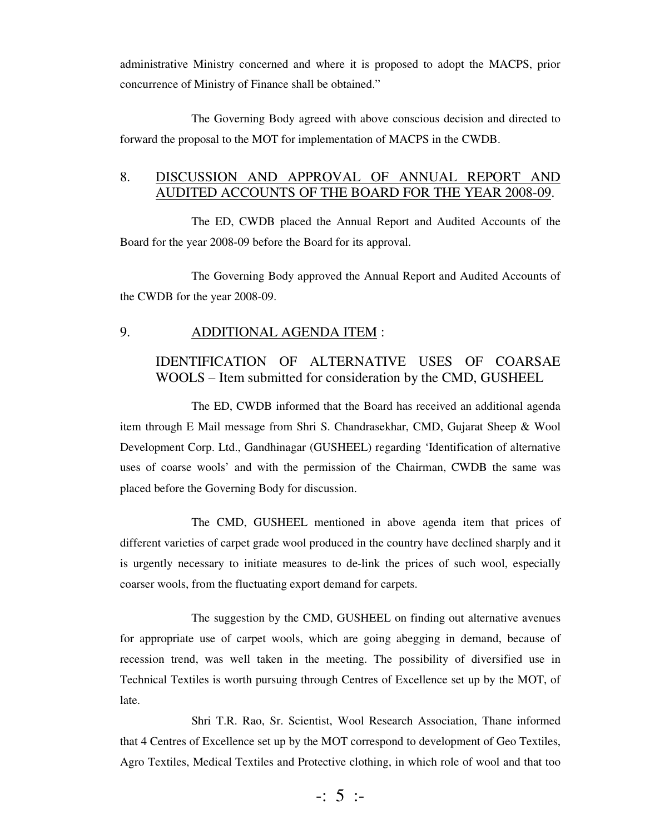administrative Ministry concerned and where it is proposed to adopt the MACPS, prior concurrence of Ministry of Finance shall be obtained."

 The Governing Body agreed with above conscious decision and directed to forward the proposal to the MOT for implementation of MACPS in the CWDB.

### 8. DISCUSSION AND APPROVAL OF ANNUAL REPORT AND AUDITED ACCOUNTS OF THE BOARD FOR THE YEAR 2008-09.

 The ED, CWDB placed the Annual Report and Audited Accounts of the Board for the year 2008-09 before the Board for its approval.

 The Governing Body approved the Annual Report and Audited Accounts of the CWDB for the year 2008-09.

#### 9. ADDITIONAL AGENDA ITEM :

### IDENTIFICATION OF ALTERNATIVE USES OF COARSAE WOOLS – Item submitted for consideration by the CMD, GUSHEEL

 The ED, CWDB informed that the Board has received an additional agenda item through E Mail message from Shri S. Chandrasekhar, CMD, Gujarat Sheep & Wool Development Corp. Ltd., Gandhinagar (GUSHEEL) regarding 'Identification of alternative uses of coarse wools' and with the permission of the Chairman, CWDB the same was placed before the Governing Body for discussion.

 The CMD, GUSHEEL mentioned in above agenda item that prices of different varieties of carpet grade wool produced in the country have declined sharply and it is urgently necessary to initiate measures to de-link the prices of such wool, especially coarser wools, from the fluctuating export demand for carpets.

 The suggestion by the CMD, GUSHEEL on finding out alternative avenues for appropriate use of carpet wools, which are going abegging in demand, because of recession trend, was well taken in the meeting. The possibility of diversified use in Technical Textiles is worth pursuing through Centres of Excellence set up by the MOT, of late.

 Shri T.R. Rao, Sr. Scientist, Wool Research Association, Thane informed that 4 Centres of Excellence set up by the MOT correspond to development of Geo Textiles, Agro Textiles, Medical Textiles and Protective clothing, in which role of wool and that too

 $-$ : 5 :-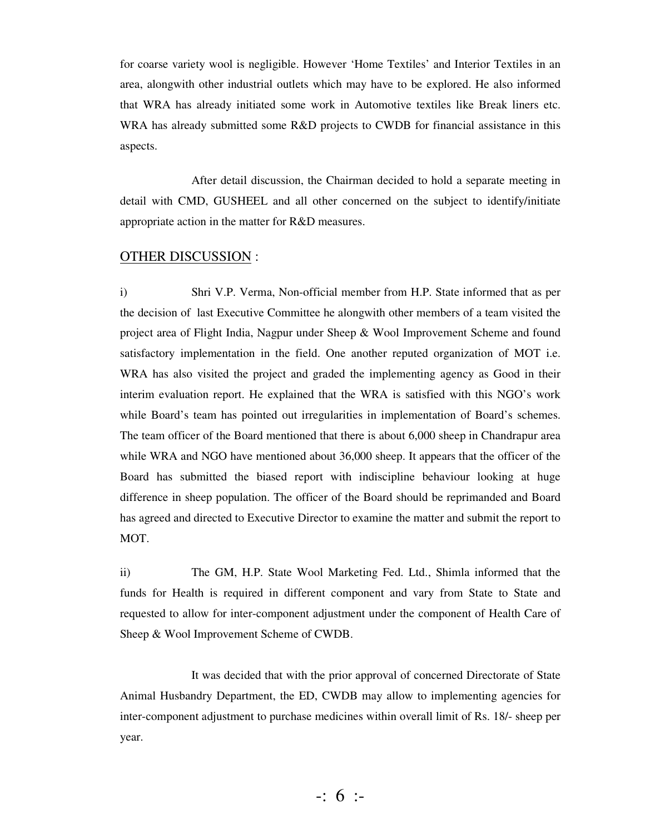for coarse variety wool is negligible. However 'Home Textiles' and Interior Textiles in an area, alongwith other industrial outlets which may have to be explored. He also informed that WRA has already initiated some work in Automotive textiles like Break liners etc. WRA has already submitted some R&D projects to CWDB for financial assistance in this aspects.

 After detail discussion, the Chairman decided to hold a separate meeting in detail with CMD, GUSHEEL and all other concerned on the subject to identify/initiate appropriate action in the matter for R&D measures.

## OTHER DISCUSSION :

i) Shri V.P. Verma, Non-official member from H.P. State informed that as per the decision of last Executive Committee he alongwith other members of a team visited the project area of Flight India, Nagpur under Sheep & Wool Improvement Scheme and found satisfactory implementation in the field. One another reputed organization of MOT i.e. WRA has also visited the project and graded the implementing agency as Good in their interim evaluation report. He explained that the WRA is satisfied with this NGO's work while Board's team has pointed out irregularities in implementation of Board's schemes. The team officer of the Board mentioned that there is about 6,000 sheep in Chandrapur area while WRA and NGO have mentioned about 36,000 sheep. It appears that the officer of the Board has submitted the biased report with indiscipline behaviour looking at huge difference in sheep population. The officer of the Board should be reprimanded and Board has agreed and directed to Executive Director to examine the matter and submit the report to MOT.

ii) The GM, H.P. State Wool Marketing Fed. Ltd., Shimla informed that the funds for Health is required in different component and vary from State to State and requested to allow for inter-component adjustment under the component of Health Care of Sheep & Wool Improvement Scheme of CWDB.

 It was decided that with the prior approval of concerned Directorate of State Animal Husbandry Department, the ED, CWDB may allow to implementing agencies for inter-component adjustment to purchase medicines within overall limit of Rs. 18/- sheep per year.

-: 6 :-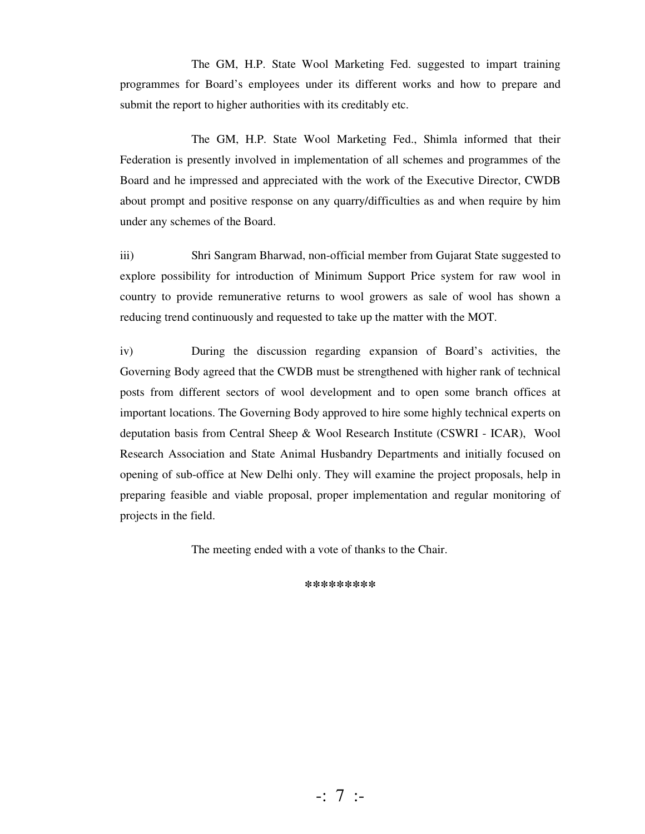The GM, H.P. State Wool Marketing Fed. suggested to impart training programmes for Board's employees under its different works and how to prepare and submit the report to higher authorities with its creditably etc.

 The GM, H.P. State Wool Marketing Fed., Shimla informed that their Federation is presently involved in implementation of all schemes and programmes of the Board and he impressed and appreciated with the work of the Executive Director, CWDB about prompt and positive response on any quarry/difficulties as and when require by him under any schemes of the Board.

iii) Shri Sangram Bharwad, non-official member from Gujarat State suggested to explore possibility for introduction of Minimum Support Price system for raw wool in country to provide remunerative returns to wool growers as sale of wool has shown a reducing trend continuously and requested to take up the matter with the MOT.

iv) During the discussion regarding expansion of Board's activities, the Governing Body agreed that the CWDB must be strengthened with higher rank of technical posts from different sectors of wool development and to open some branch offices at important locations. The Governing Body approved to hire some highly technical experts on deputation basis from Central Sheep & Wool Research Institute (CSWRI - ICAR), Wool Research Association and State Animal Husbandry Departments and initially focused on opening of sub-office at New Delhi only. They will examine the project proposals, help in preparing feasible and viable proposal, proper implementation and regular monitoring of projects in the field.

The meeting ended with a vote of thanks to the Chair.

**\*\*\*\*\*\*\*\*\***